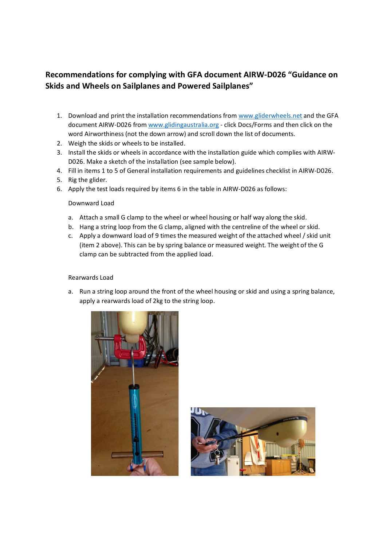## **Recommendations for complying with GFA document AIRW-D026 "Guidance on Skids and Wheels on Sailplanes and Powered Sailplanes"**

- 1. Download and print the installation recommendations from www.gliderwheels.net and the GFA document AIRW-D026 from www.glidingaustralia.org - click Docs/Forms and then click on the word Airworthiness (not the down arrow) and scroll down the list of documents.
- 2. Weigh the skids or wheels to be installed.
- 3. Install the skids or wheels in accordance with the installation guide which complies with AIRW-D026. Make a sketch of the installation (see sample below).
- 4. Fill in items 1 to 5 of General installation requirements and guidelines checklist in AIRW-D026.
- 5. Rig the glider.
- 6. Apply the test loads required by items 6 in the table in AIRW-D026 as follows:

## Downward Load

- a. Attach a small G clamp to the wheel or wheel housing or half way along the skid.
- b. Hang a string loop from the G clamp, aligned with the centreline of the wheel or skid.
- c. Apply a downward load of 9 times the measured weight of the attached wheel / skid unit (item 2 above). This can be by spring balance or measured weight. The weight of the G clamp can be subtracted from the applied load.

## Rearwards Load

a. Run a string loop around the front of the wheel housing or skid and using a spring balance, apply a rearwards load of 2kg to the string loop.